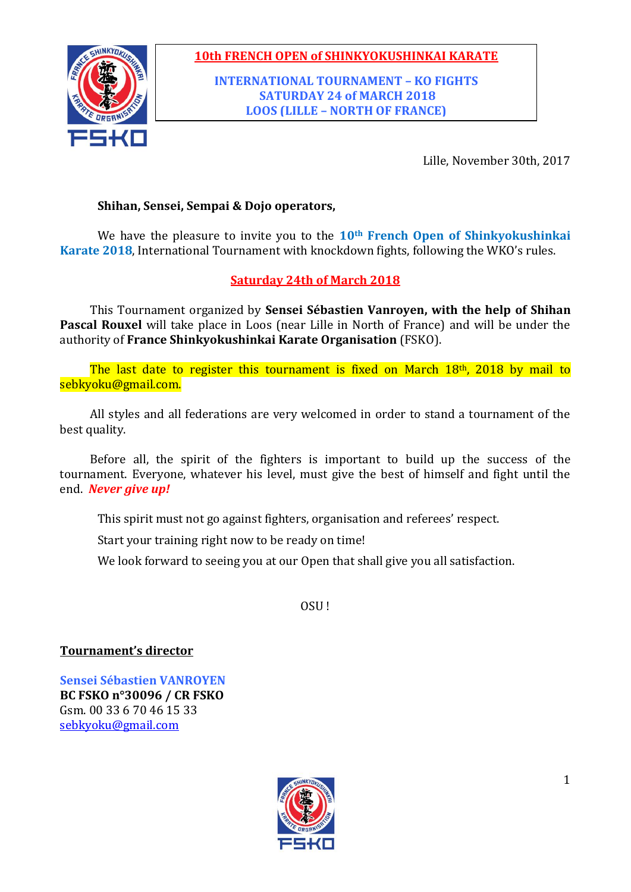

**INTERNATIONAL TOURNAMENT – KO FIGHTS SATURDAY 24 of MARCH 2018 LOOS (LILLE – NORTH OF FRANCE)**

Lille, November 30th, 2017

## **Shihan, Sensei, Sempai & Dojo operators,**

We have the pleasure to invite you to the **10th French Open of Shinkyokushinkai Karate 2018**, International Tournament with knockdown fights, following the WKO's rules.

### **Saturday 24th of March 2018**

This Tournament organized by **Sensei Sébastien Vanroyen, with the help of Shihan Pascal Rouxel** will take place in Loos (near Lille in North of France) and will be under the authority of **France Shinkyokushinkai Karate Organisation** (FSKO).

The last date to register this tournament is fixed on March 18th, 2018 by mail to sebkyoku@gmail.com.

All styles and all federations are very welcomed in order to stand a tournament of the best quality.

Before all, the spirit of the fighters is important to build up the success of the tournament. Everyone, whatever his level, must give the best of himself and fight until the end. *Never give up!*

This spirit must not go against fighters, organisation and referees' respect.

Start your training right now to be ready on time!

We look forward to seeing you at our Open that shall give you all satisfaction.

OSU !

**Tournament's director**

**Sensei Sébastien VANROYEN BC FSKO n°30096 / CR FSKO** Gsm. 00 33 6 70 46 15 33 [sebkyoku@gmail.com](mailto:sebkyoku@gmail.com)

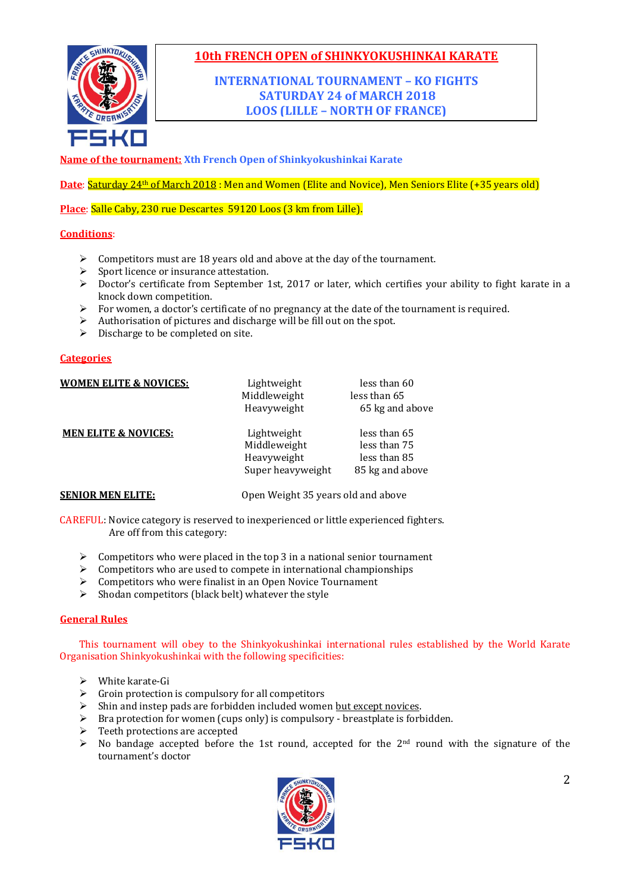

### **INTERNATIONAL TOURNAMENT – KO FIGHTS SATURDAY 24 of MARCH 2018 LOOS (LILLE – NORTH OF FRANCE)**

**Name of the tournament: Xth French Open of Shinkyokushinkai Karate**

Date: Saturday 24<sup>th</sup> of March 2018 : Men and Women (Elite and Novice), Men Seniors Elite (+35 years old)

**Place**: Salle Caby, 230 rue Descartes 59120 Loos (3 km from Lille).

#### **Conditions**:

- $\triangleright$  Competitors must are 18 years old and above at the day of the tournament.
- $\triangleright$  Sport licence or insurance attestation.
- $\triangleright$  Doctor's certificate from September 1st, 2017 or later, which certifies your ability to fight karate in a knock down competition.
- $\triangleright$  For women, a doctor's certificate of no pregnancy at the date of the tournament is required.
- Authorisation of pictures and discharge will be fill out on the spot.
- $\triangleright$  Discharge to be completed on site.

#### **Categories**

| <b>WOMEN ELITE &amp; NOVICES:</b> | Lightweight<br>Middleweight<br>Heavyweight                      | less than 60<br>less than 65<br>65 kg and above                 |
|-----------------------------------|-----------------------------------------------------------------|-----------------------------------------------------------------|
| <b>MEN ELITE &amp; NOVICES:</b>   | Lightweight<br>Middleweight<br>Heavyweight<br>Super heavyweight | less than 65<br>less than 75<br>less than 85<br>85 kg and above |
| <b>SENIOR MEN ELITE:</b>          | Open Weight 35 years old and above                              |                                                                 |

CAREFUL: Novice category is reserved to inexperienced or little experienced fighters. Are off from this category:

- $\triangleright$  Competitors who were placed in the top 3 in a national senior tournament
- $\triangleright$  Competitors who are used to compete in international championships
- $\triangleright$  Competitors who were finalist in an Open Novice Tournament
- $\triangleright$  Shodan competitors (black belt) whatever the style

#### **General Rules**

This tournament will obey to the Shinkyokushinkai international rules established by the World Karate Organisation Shinkyokushinkai with the following specificities:

- White karate-Gi
- $\triangleright$  Groin protection is compulsory for all competitors
- $\triangleright$  Shin and instep pads are forbidden included women but except novices.
- $\triangleright$  Bra protection for women (cups only) is compulsory breastplate is forbidden.
- $\triangleright$  Teeth protections are accepted
- $\triangleright$  No bandage accepted before the 1st round, accepted for the 2<sup>nd</sup> round with the signature of the tournament's doctor

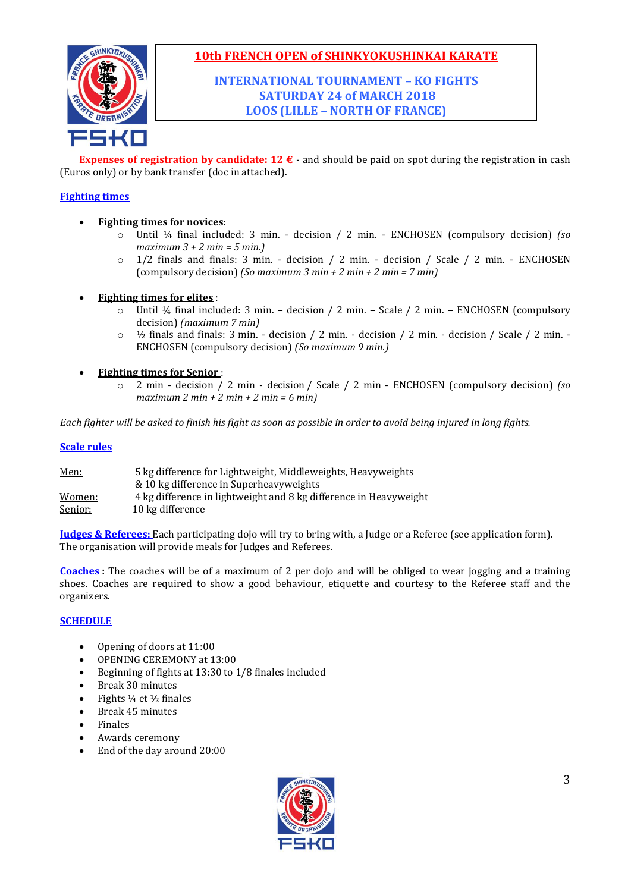

**INTERNATIONAL TOURNAMENT – KO FIGHTS SATURDAY 24 of MARCH 2018 LOOS (LILLE – NORTH OF FRANCE)**

**Expenses of registration by candidate: 12 €** - and should be paid on spot during the registration in cash (Euros only) or by bank transfer (doc in attached).

### **Fighting times**

- **Fighting times for novices**:
	- o Until ¼ final included: 3 min. decision / 2 min. ENCHOSEN (compulsory decision) *(so maximum 3 + 2 min = 5 min.)*
	- o 1/2 finals and finals: 3 min. decision / 2 min. decision / Scale / 2 min. ENCHOSEN (compulsory decision) *(So maximum 3 min + 2 min + 2 min = 7 min)*
- **Fighting times for elites** :
	- o Until ¼ final included: 3 min. decision / 2 min. Scale / 2 min. ENCHOSEN (compulsory decision) *(maximum 7 min)*
	- $\circ$  1/<sub>2</sub> finals and finals: 3 min. decision / 2 min. decision / 2 min. decision / Scale / 2 min. -ENCHOSEN (compulsory decision) *(So maximum 9 min.)*
- **Fighting times for Senior** :
	- o 2 min decision / 2 min decision / Scale / 2 min ENCHOSEN (compulsory decision) *(so maximum 2 min + 2 min + 2 min = 6 min)*

*Each fighter will be asked to finish his fight as soon as possible in order to avoid being injured in long fights.*

#### **Scale rules**

| Men:    | 5 kg difference for Lightweight, Middleweights, Heavyweights      |
|---------|-------------------------------------------------------------------|
|         | & 10 kg difference in Superheavyweights                           |
| Women:  | 4 kg difference in lightweight and 8 kg difference in Heavyweight |
| Senior: | 10 kg difference                                                  |

**Judges & Referees:** Each participating dojo will try to bring with, a Judge or a Referee (see application form). The organisation will provide meals for Judges and Referees.

**Coaches :** The coaches will be of a maximum of 2 per dojo and will be obliged to wear jogging and a training shoes. Coaches are required to show a good behaviour, etiquette and courtesy to the Referee staff and the organizers.

#### **SCHEDULE**

- Opening of doors at 11:00
- OPENING CEREMONY at 13:00
- Beginning of fights at 13:30 to 1/8 finales included
- Break 30 minutes
- Fights ¼ et ½ finales
- Break 45 minutes
- Finales
- Awards ceremony
- End of the day around 20:00